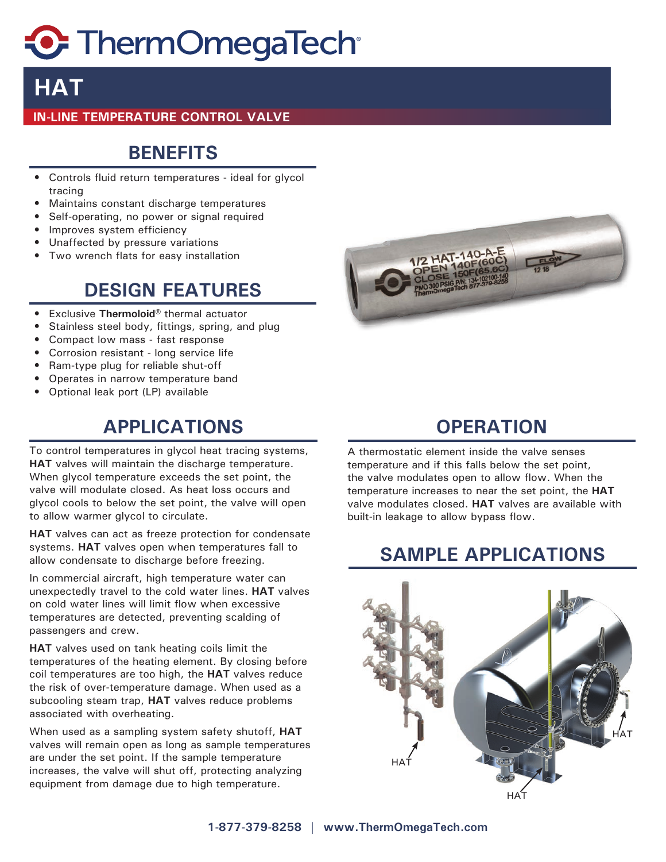# **C** ThermOmegaTech

# **HAT**

#### **IN-LINE TEMPERATURE CONTROL VALVE**

#### **BENEFITS**

- Controls fluid return temperatures ideal for glycol tracing
- Maintains constant discharge temperatures
- Self-operating, no power or signal required
- Improves system efficiency
- Unaffected by pressure variations
- Two wrench flats for easy installation

### **DESIGN FEATURES**

- Exclusive **Thermoloid®** thermal actuator
- Stainless steel body, fittings, spring, and plug
- Compact low mass fast response
- Corrosion resistant long service life
- Ram-type plug for reliable shut-off
- Operates in narrow temperature band
- Optional leak port (LP) available

## **APPLICATIONS OPERATION**

To control temperatures in glycol heat tracing systems, **HAT** valves will maintain the discharge temperature. When glycol temperature exceeds the set point, the valve will modulate closed. As heat loss occurs and glycol cools to below the set point, the valve will open to allow warmer glycol to circulate.

**HAT** valves can act as freeze protection for condensate systems. **HAT** valves open when temperatures fall to allow condensate to discharge before freezing.

In commercial aircraft, high temperature water can unexpectedly travel to the cold water lines. **HAT** valves on cold water lines will limit flow when excessive temperatures are detected, preventing scalding of passengers and crew.

**HAT** valves used on tank heating coils limit the temperatures of the heating element. By closing before coil temperatures are too high, the **HAT** valves reduce the risk of over-temperature damage. When used as a subcooling steam trap, **HAT** valves reduce problems associated with overheating.

When used as a sampling system safety shutoff, **HAT** valves will remain open as long as sample temperatures are under the set point. If the sample temperature increases, the valve will shut off, protecting analyzing equipment from damage due to high temperature.



A thermostatic element inside the valve senses temperature and if this falls below the set point, the valve modulates open to allow flow. When the temperature increases to near the set point, the **HAT** valve modulates closed. **HAT** valves are available with built-in leakage to allow bypass flow.

#### **SAMPLE APPLICATIONS**